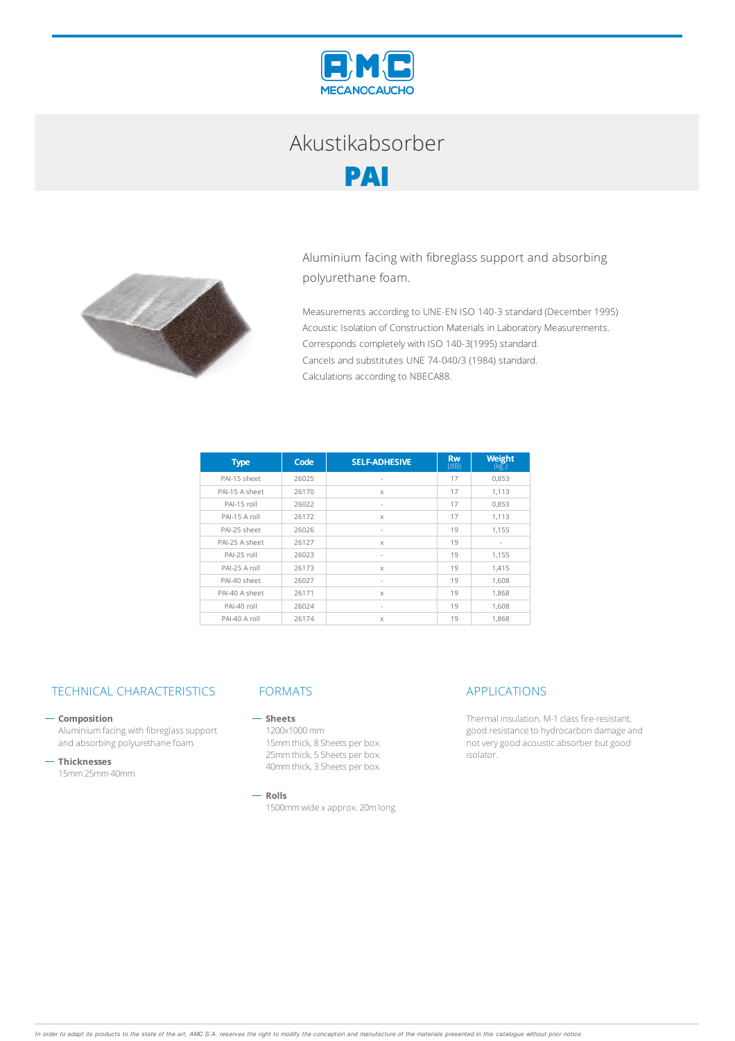

# Akustikabsorber **PAI**



Aluminium facing with fibreglass support and absorbing polyurethane foam.

Measurements according to UNE-EN ISO 140-3 standard (December 1995) Acoustic Isolation of Construction Materials in Laboratory Measurements. Corresponds completely with ISO 140-3(1995) standard. Cancels and substitutes UNE 74-040/3 (1984) standard. Calculations according to NBECA88.

| <b>Type</b>    | Code  | <b>SELF-ADHESIVE</b>     | <b>Rw</b><br>(dB) | <b>Weight</b><br>$(k\bar{g})$ |
|----------------|-------|--------------------------|-------------------|-------------------------------|
| PAI-15 sheet   | 26025 | $\sim$                   | 17                | 0,853                         |
| PAI-15 A sheet | 26170 | $\mathsf{X}$             | 17                | 1.113                         |
| PAI-15 roll    | 26022 | $\overline{\phantom{a}}$ | 17                | 0,853                         |
| PAI-15 A roll  | 26172 | $\mathsf{X}$             | 17                | 1.113                         |
| PAI-25 sheet   | 26026 | $\overline{\phantom{a}}$ | 19                | 1.155                         |
| PAI-25 A sheet | 26127 | X                        | 19                | ٠                             |
| PAI-25 roll    | 26023 | ×.                       | 19                | 1,155                         |
| PAI-25 A roll  | 26173 | $\mathsf{X}$             | 19                | 1.415                         |
| PAI-40 sheet   | 26027 | $\overline{\phantom{a}}$ | 19                | 1,608                         |
| PAI-40 A sheet | 26171 | $\mathsf{x}$             | 19                | 1,868                         |
| PAI-40 roll    | 26024 | $\sim$                   | 19                | 1.608                         |
| PAI-40 A roll  | 26174 | X                        | 19                | 1.868                         |

## TECHNICAL CHARACTERISTICS FORMATS APPLICATIONS

### **Composition**

Aluminium facing with fibreglass support and absorbing polyurethane foam.

**Thicknesses**

15mm25mm40mm

#### $-$  Sheets

1200x1000mm 15mmthick, 8 Sheets per box. 25mmthick, 5 Sheets per box. 40mmthick, 3 Sheets per box.

### **Rolls**

1500mmwide xapprox. 20mlong

Thermal insulation, M-1 class fire-resistant, good resistance to hydrocarbon damage and notverygood acousticabsorber butgood isolator.